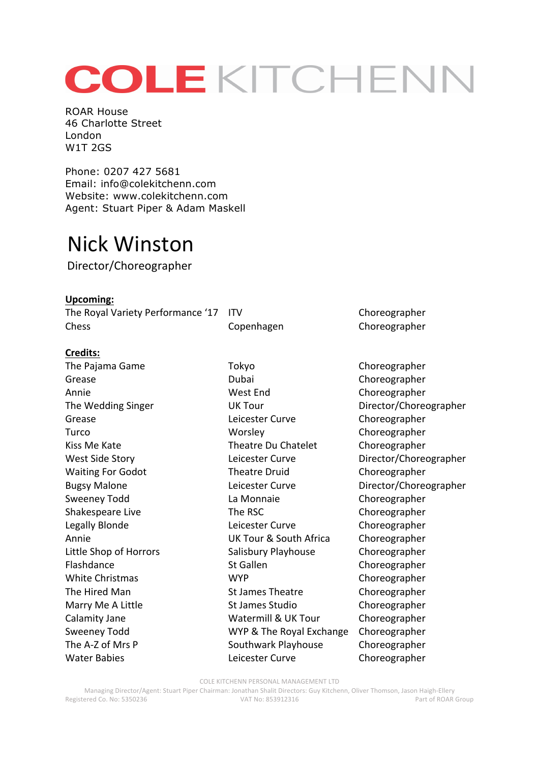# COLEKITCHENN

ROAR House 46 Charlotte Street London W1T 2GS

Phone: 0207 427 5681 Email: info@colekitchenn.com Website: www.colekitchenn.com Agent: Stuart Piper & Adam Maskell

# Nick Winston

Director/Choreographer

**Upcoming:** The Royal Variety Performance '17 ITV Choreographer Chess Copenhagen Choreographer

## **Credits:**

The Pajama Game Tokyo Tokyo Choreographer Grease **Choreographer** Dubai Choreographer Annie Choreographer Choreographer Choreographer The Wedding Singer **Contact COVER COVER 19 UK** Tour **Director/Choreographer** Grease **Choreographer** Leicester Curve **Choreographer** Turco Worsley Choreographer Kiss Me Kate Theatre Du Chatelet Choreographer West Side Story **State Curve** Leicester Curve **Curve** Director/Choreographer Waiting For Godot Theatre Druid Choreographer Bugsy Malone **Leicester Curve** Director/Choreographer Sweeney Todd **La Monnaie** Choreographer Shakespeare Live The RSC Choreographer Legally Blonde **Legally** Blonde **Legally** Blonde Annie **Example 20** UK Tour & South Africa Choreographer Little Shop of Horrors Salisbury Playhouse Choreographer Flashdance St Gallen St Gallen Choreographer White Christmas **WYP** Choreographer The Hired Man St James Theatre Choreographer Marry Me A Little Studio St James Studio Choreographer Calamity Jane **Watermill & UK Tour** Choreographer Sweeney Todd **WYP** & The Royal Exchange Choreographer The A-Z of Mrs P Southwark Playhouse Choreographer Water Babies **CHOREO EXECUTE:** Leicester Curve **Choreographer** 

COLE KITCHENN PERSONAL MANAGEMENT LTD